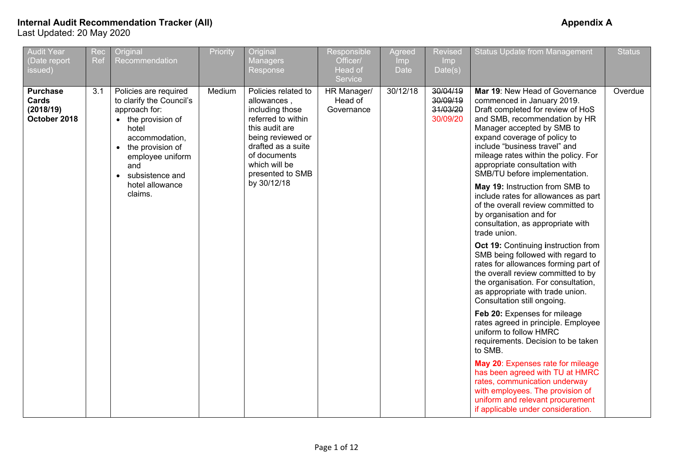| <b>Audit Year</b><br>(Date report<br>issued)          | Rec<br>Ref | Original<br>Recommendation                                                                                                                                                                                      | Priority | Original<br><b>Managers</b><br>Response                                                                                                                                                       | Responsible<br>Officer/<br>Head of<br>Service | Agreed<br><b>Imp</b><br><b>Date</b> | <b>Revised</b><br>Imp<br>Date(s)             | <b>Status Update from Management</b>                                                                                                                                                                                                                                                                                                        | <b>Status</b> |
|-------------------------------------------------------|------------|-----------------------------------------------------------------------------------------------------------------------------------------------------------------------------------------------------------------|----------|-----------------------------------------------------------------------------------------------------------------------------------------------------------------------------------------------|-----------------------------------------------|-------------------------------------|----------------------------------------------|---------------------------------------------------------------------------------------------------------------------------------------------------------------------------------------------------------------------------------------------------------------------------------------------------------------------------------------------|---------------|
| <b>Purchase</b><br>Cards<br>(2018/19)<br>October 2018 | 3.1        | Policies are required<br>to clarify the Council's<br>approach for:<br>• the provision of<br>hotel<br>accommodation,<br>the provision of<br>$\bullet$<br>employee uniform<br>and<br>subsistence and<br>$\bullet$ | Medium   | Policies related to<br>allowances,<br>including those<br>referred to within<br>this audit are<br>being reviewed or<br>drafted as a suite<br>of documents<br>which will be<br>presented to SMB | HR Manager/<br>Head of<br>Governance          | 30/12/18                            | 30/04/19<br>30/09/19<br>31/03/20<br>30/09/20 | Mar 19: New Head of Governance<br>commenced in January 2019.<br>Draft completed for review of HoS<br>and SMB, recommendation by HR<br>Manager accepted by SMB to<br>expand coverage of policy to<br>include "business travel" and<br>mileage rates within the policy. For<br>appropriate consultation with<br>SMB/TU before implementation. | Overdue       |
|                                                       |            | hotel allowance<br>claims.                                                                                                                                                                                      |          | by 30/12/18                                                                                                                                                                                   |                                               |                                     |                                              | May 19: Instruction from SMB to<br>include rates for allowances as part<br>of the overall review committed to<br>by organisation and for<br>consultation, as appropriate with<br>trade union.                                                                                                                                               |               |
|                                                       |            |                                                                                                                                                                                                                 |          |                                                                                                                                                                                               |                                               |                                     |                                              | Oct 19: Continuing instruction from<br>SMB being followed with regard to<br>rates for allowances forming part of<br>the overall review committed to by<br>the organisation. For consultation,<br>as appropriate with trade union.<br>Consultation still ongoing.                                                                            |               |
|                                                       |            |                                                                                                                                                                                                                 |          |                                                                                                                                                                                               |                                               |                                     |                                              | Feb 20: Expenses for mileage<br>rates agreed in principle. Employee<br>uniform to follow HMRC<br>requirements. Decision to be taken<br>to SMB.                                                                                                                                                                                              |               |
|                                                       |            |                                                                                                                                                                                                                 |          |                                                                                                                                                                                               |                                               |                                     |                                              | May 20: Expenses rate for mileage<br>has been agreed with TU at HMRC<br>rates, communication underway<br>with employees. The provision of<br>uniform and relevant procurement<br>if applicable under consideration.                                                                                                                         |               |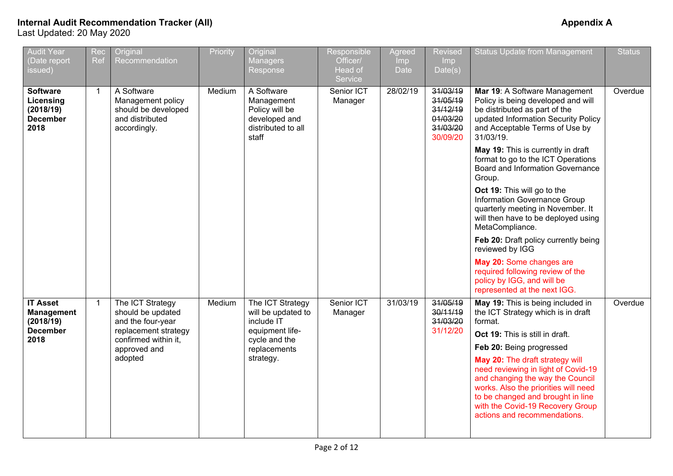| <b>Audit Year</b><br>(Date report<br>issued)                                 | Rec<br><b>Ref</b> | Original<br>Recommendation                                                                                                            | Priority | Original<br><b>Managers</b><br>Response                                                                               | Responsible<br>Officer/<br>Head of<br>Service | Agreed<br>Imp<br><b>Date</b> | <b>Revised</b><br>Imp<br>Date(s)                                     | <b>Status Update from Management</b>                                                                                                                                                                                                                                                                                                                                                                                                                                                                                                                                                                                                                                        | <b>Status</b> |
|------------------------------------------------------------------------------|-------------------|---------------------------------------------------------------------------------------------------------------------------------------|----------|-----------------------------------------------------------------------------------------------------------------------|-----------------------------------------------|------------------------------|----------------------------------------------------------------------|-----------------------------------------------------------------------------------------------------------------------------------------------------------------------------------------------------------------------------------------------------------------------------------------------------------------------------------------------------------------------------------------------------------------------------------------------------------------------------------------------------------------------------------------------------------------------------------------------------------------------------------------------------------------------------|---------------|
| <b>Software</b><br>Licensing<br>(2018/19)<br><b>December</b><br>2018         | $\mathbf{1}$      | A Software<br>Management policy<br>should be developed<br>and distributed<br>accordingly.                                             | Medium   | A Software<br>Management<br>Policy will be<br>developed and<br>distributed to all<br>staff                            | Senior ICT<br>Manager                         | 28/02/19                     | 31/03/19<br>31/05/19<br>31/12/19<br>01/03/20<br>31/03/20<br>30/09/20 | Mar 19: A Software Management<br>Policy is being developed and will<br>be distributed as part of the<br>updated Information Security Policy<br>and Acceptable Terms of Use by<br>31/03/19.<br>May 19: This is currently in draft<br>format to go to the ICT Operations<br>Board and Information Governance<br>Group.<br>Oct 19: This will go to the<br>Information Governance Group<br>quarterly meeting in November. It<br>will then have to be deployed using<br>MetaCompliance.<br>Feb 20: Draft policy currently being<br>reviewed by IGG<br>May 20: Some changes are<br>required following review of the<br>policy by IGG, and will be<br>represented at the next IGG. | Overdue       |
| <b>IT Asset</b><br><b>Management</b><br>(2018/19)<br><b>December</b><br>2018 | $\mathbf{1}$      | The ICT Strategy<br>should be updated<br>and the four-year<br>replacement strategy<br>confirmed within it,<br>approved and<br>adopted | Medium   | The ICT Strategy<br>will be updated to<br>include IT<br>equipment life-<br>cycle and the<br>replacements<br>strategy. | Senior ICT<br>Manager                         | 31/03/19                     | 31/05/19<br>30/11/19<br>31/03/20<br>31/12/20                         | May 19: This is being included in<br>the ICT Strategy which is in draft<br>format.<br>Oct 19: This is still in draft.<br>Feb 20: Being progressed<br>May 20: The draft strategy will<br>need reviewing in light of Covid-19<br>and changing the way the Council<br>works. Also the priorities will need<br>to be changed and brought in line<br>with the Covid-19 Recovery Group<br>actions and recommendations.                                                                                                                                                                                                                                                            | Overdue       |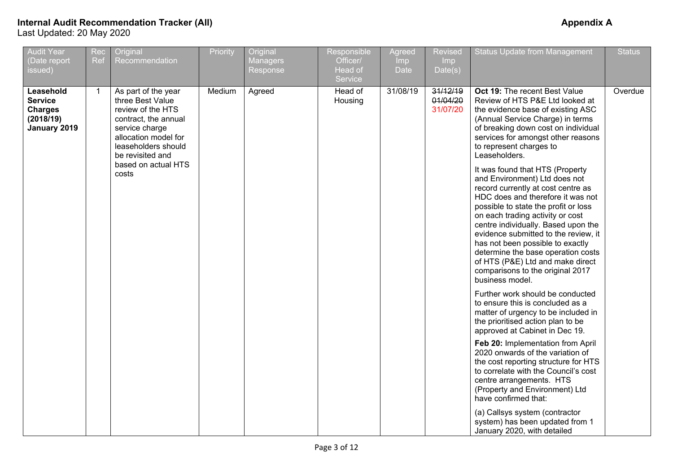| <b>Audit Year</b><br>(Date report<br>issued)                               | Rec<br><b>Ref</b> | Original<br>Recommendation                                                                                                                                                | Priority | Original<br><b>Managers</b><br>Response | Responsible<br>Officer/<br>Head of<br>Service | Agreed<br>Imp<br>Date | <b>Revised</b><br>Imp<br>Date(s) | <b>Status Update from Management</b>                                                                                                                                                                                                                                                                                                                                                                                                                                        | <b>Status</b> |
|----------------------------------------------------------------------------|-------------------|---------------------------------------------------------------------------------------------------------------------------------------------------------------------------|----------|-----------------------------------------|-----------------------------------------------|-----------------------|----------------------------------|-----------------------------------------------------------------------------------------------------------------------------------------------------------------------------------------------------------------------------------------------------------------------------------------------------------------------------------------------------------------------------------------------------------------------------------------------------------------------------|---------------|
| Leasehold<br><b>Service</b><br><b>Charges</b><br>(2018/19)<br>January 2019 | 1                 | As part of the year<br>three Best Value<br>review of the HTS<br>contract, the annual<br>service charge<br>allocation model for<br>leaseholders should<br>be revisited and | Medium   | Agreed                                  | Head of<br>Housing                            | 31/08/19              | 31/12/19<br>01/04/20<br>31/07/20 | Oct 19: The recent Best Value<br>Review of HTS P&E Ltd looked at<br>the evidence base of existing ASC<br>(Annual Service Charge) in terms<br>of breaking down cost on individual<br>services for amongst other reasons<br>to represent charges to<br>Leaseholders.                                                                                                                                                                                                          | Overdue       |
|                                                                            |                   | based on actual HTS<br>costs                                                                                                                                              |          |                                         |                                               |                       |                                  | It was found that HTS (Property<br>and Environment) Ltd does not<br>record currently at cost centre as<br>HDC does and therefore it was not<br>possible to state the profit or loss<br>on each trading activity or cost<br>centre individually. Based upon the<br>evidence submitted to the review, it<br>has not been possible to exactly<br>determine the base operation costs<br>of HTS (P&E) Ltd and make direct<br>comparisons to the original 2017<br>business model. |               |
|                                                                            |                   |                                                                                                                                                                           |          |                                         |                                               |                       |                                  | Further work should be conducted<br>to ensure this is concluded as a<br>matter of urgency to be included in<br>the prioritised action plan to be<br>approved at Cabinet in Dec 19.                                                                                                                                                                                                                                                                                          |               |
|                                                                            |                   |                                                                                                                                                                           |          |                                         |                                               |                       |                                  | Feb 20: Implementation from April<br>2020 onwards of the variation of<br>the cost reporting structure for HTS<br>to correlate with the Council's cost<br>centre arrangements. HTS<br>(Property and Environment) Ltd<br>have confirmed that:                                                                                                                                                                                                                                 |               |
|                                                                            |                   |                                                                                                                                                                           |          |                                         |                                               |                       |                                  | (a) Callsys system (contractor<br>system) has been updated from 1<br>January 2020, with detailed                                                                                                                                                                                                                                                                                                                                                                            |               |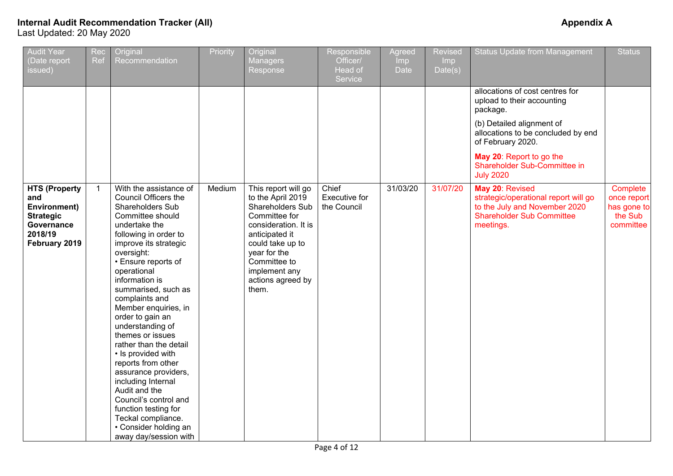| <b>Audit Year</b><br>Date report<br>issued)                                                               | Rec<br><b>Ref</b> | Original<br>Recommendation                                                                                                                                                                                                                                                                                                                                                                                                                                                                                                                                                                                                        | Priority | Original<br><b>Managers</b><br>Response                                                                                                                                                                                    | Responsible<br>Officer/<br>Head of<br>Service | Agreed<br><b>Imp</b><br>Date | <b>Revised</b><br>Imp<br>Date(s) | <b>Status Update from Management</b>                                                                                                                                                          | <b>Status</b>                                                  |
|-----------------------------------------------------------------------------------------------------------|-------------------|-----------------------------------------------------------------------------------------------------------------------------------------------------------------------------------------------------------------------------------------------------------------------------------------------------------------------------------------------------------------------------------------------------------------------------------------------------------------------------------------------------------------------------------------------------------------------------------------------------------------------------------|----------|----------------------------------------------------------------------------------------------------------------------------------------------------------------------------------------------------------------------------|-----------------------------------------------|------------------------------|----------------------------------|-----------------------------------------------------------------------------------------------------------------------------------------------------------------------------------------------|----------------------------------------------------------------|
|                                                                                                           |                   |                                                                                                                                                                                                                                                                                                                                                                                                                                                                                                                                                                                                                                   |          |                                                                                                                                                                                                                            |                                               |                              |                                  | allocations of cost centres for<br>upload to their accounting<br>package.<br>(b) Detailed alignment of<br>allocations to be concluded by end<br>of February 2020.<br>May 20: Report to go the |                                                                |
|                                                                                                           |                   |                                                                                                                                                                                                                                                                                                                                                                                                                                                                                                                                                                                                                                   |          |                                                                                                                                                                                                                            |                                               |                              |                                  | Shareholder Sub-Committee in<br><b>July 2020</b>                                                                                                                                              |                                                                |
| <b>HTS (Property</b><br>and<br>Environment)<br><b>Strategic</b><br>Governance<br>2018/19<br>February 2019 | $\mathbf{1}$      | With the assistance of<br><b>Council Officers the</b><br>Shareholders Sub<br>Committee should<br>undertake the<br>following in order to<br>improve its strategic<br>oversight:<br>• Ensure reports of<br>operational<br>information is<br>summarised, such as<br>complaints and<br>Member enquiries, in<br>order to gain an<br>understanding of<br>themes or issues<br>rather than the detail<br>• Is provided with<br>reports from other<br>assurance providers,<br>including Internal<br>Audit and the<br>Council's control and<br>function testing for<br>Teckal compliance.<br>• Consider holding an<br>away day/session with | Medium   | This report will go<br>to the April 2019<br>Shareholders Sub<br>Committee for<br>consideration. It is<br>anticipated it<br>could take up to<br>year for the<br>Committee to<br>implement any<br>actions agreed by<br>them. | Chief<br><b>Executive for</b><br>the Council  | 31/03/20                     | 31/07/20                         | May 20: Revised<br>strategic/operational report will go<br>to the July and November 2020<br><b>Shareholder Sub Committee</b><br>meetings.                                                     | Complete<br>once report<br>has gone to<br>the Sub<br>committee |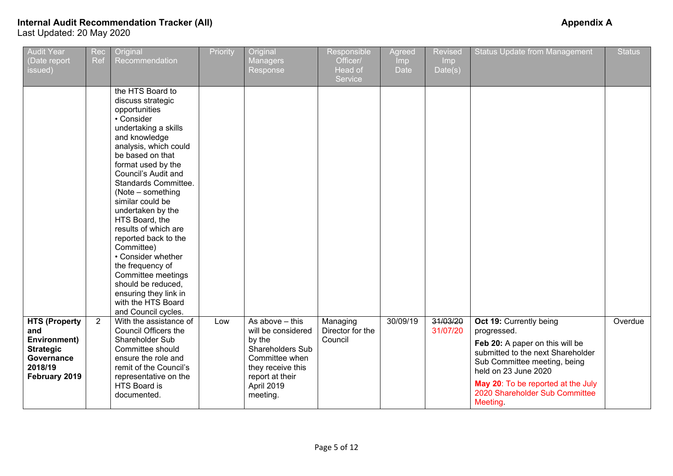| <b>Audit Year</b><br>(Date report<br>issued)                                                              | Rec<br>Ref     | Original<br>Recommendation                                                                                                                                                                                                                                                                                                                                                                                                                                                                                                                | Priority | Original<br><b>Managers</b><br>Response                                                                                                                   | Responsible<br>Officer/<br>Head of<br>Service | Agreed<br><b>Imp</b><br><b>Date</b> | <b>Revised</b><br>Imp<br>Date(s) | <b>Status Update from Management</b>                                                                                                                                                                                                                       | <b>Status</b> |
|-----------------------------------------------------------------------------------------------------------|----------------|-------------------------------------------------------------------------------------------------------------------------------------------------------------------------------------------------------------------------------------------------------------------------------------------------------------------------------------------------------------------------------------------------------------------------------------------------------------------------------------------------------------------------------------------|----------|-----------------------------------------------------------------------------------------------------------------------------------------------------------|-----------------------------------------------|-------------------------------------|----------------------------------|------------------------------------------------------------------------------------------------------------------------------------------------------------------------------------------------------------------------------------------------------------|---------------|
|                                                                                                           |                | the HTS Board to<br>discuss strategic<br>opportunities<br>• Consider<br>undertaking a skills<br>and knowledge<br>analysis, which could<br>be based on that<br>format used by the<br>Council's Audit and<br>Standards Committee.<br>(Note – something<br>similar could be<br>undertaken by the<br>HTS Board, the<br>results of which are<br>reported back to the<br>Committee)<br>• Consider whether<br>the frequency of<br>Committee meetings<br>should be reduced,<br>ensuring they link in<br>with the HTS Board<br>and Council cycles. |          |                                                                                                                                                           |                                               |                                     |                                  |                                                                                                                                                                                                                                                            |               |
| <b>HTS (Property</b><br>and<br>Environment)<br><b>Strategic</b><br>Governance<br>2018/19<br>February 2019 | $\overline{2}$ | With the assistance of<br>Council Officers the<br>Shareholder Sub<br>Committee should<br>ensure the role and<br>remit of the Council's<br>representative on the<br>HTS Board is<br>documented.                                                                                                                                                                                                                                                                                                                                            | Low      | As above $-$ this<br>will be considered<br>by the<br>Shareholders Sub<br>Committee when<br>they receive this<br>report at their<br>April 2019<br>meeting. | Managing<br>Director for the<br>Council       | 30/09/19                            | 31/03/20<br>31/07/20             | Oct 19: Currently being<br>progressed.<br>Feb 20: A paper on this will be<br>submitted to the next Shareholder<br>Sub Committee meeting, being<br>held on 23 June 2020<br>May 20: To be reported at the July<br>2020 Shareholder Sub Committee<br>Meeting. | Overdue       |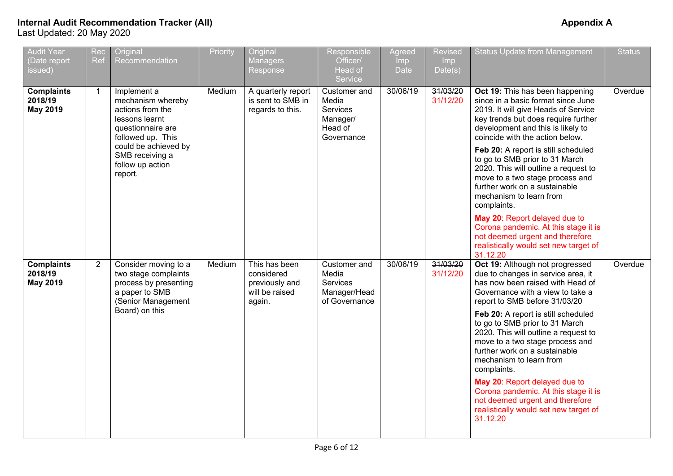| <b>Audit Year</b><br>Date report<br>issued) | Rec<br>Ref     | Original<br>Recommendation                                                                                                                                                                 | Priority | Original<br><b>Managers</b><br>Response                                   | Responsible<br>Officer/<br>Head of<br>Service                          | Agreed<br><b>Imp</b><br><b>Date</b> | Revised<br>Imp<br>Date(s) | <b>Status Update from Management</b>                                                                                                                                                                                                                                                                                                                                                                                                                                                                                                                                                                                                                                   | <b>Status</b> |
|---------------------------------------------|----------------|--------------------------------------------------------------------------------------------------------------------------------------------------------------------------------------------|----------|---------------------------------------------------------------------------|------------------------------------------------------------------------|-------------------------------------|---------------------------|------------------------------------------------------------------------------------------------------------------------------------------------------------------------------------------------------------------------------------------------------------------------------------------------------------------------------------------------------------------------------------------------------------------------------------------------------------------------------------------------------------------------------------------------------------------------------------------------------------------------------------------------------------------------|---------------|
| <b>Complaints</b><br>2018/19<br>May 2019    | $\mathbf{1}$   | Implement a<br>mechanism whereby<br>actions from the<br>lessons learnt<br>questionnaire are<br>followed up. This<br>could be achieved by<br>SMB receiving a<br>follow up action<br>report. | Medium   | A quarterly report<br>is sent to SMB in<br>regards to this.               | Customer and<br>Media<br>Services<br>Manager/<br>Head of<br>Governance | 30/06/19                            | 31/03/20<br>31/12/20      | Oct 19: This has been happening<br>since in a basic format since June<br>2019. It will give Heads of Service<br>key trends but does require further<br>development and this is likely to<br>coincide with the action below.<br>Feb 20: A report is still scheduled<br>to go to SMB prior to 31 March<br>2020. This will outline a request to<br>move to a two stage process and<br>further work on a sustainable<br>mechanism to learn from<br>complaints.<br>May 20: Report delayed due to<br>Corona pandemic. At this stage it is                                                                                                                                    | Overdue       |
| <b>Complaints</b><br>2018/19<br>May 2019    | $\overline{2}$ | Consider moving to a<br>two stage complaints<br>process by presenting<br>a paper to SMB<br>(Senior Management<br>Board) on this                                                            | Medium   | This has been<br>considered<br>previously and<br>will be raised<br>again. | Customer and<br>Media<br>Services<br>Manager/Head<br>of Governance     | 30/06/19                            | 31/03/20<br>31/12/20      | not deemed urgent and therefore<br>realistically would set new target of<br>31.12.20<br>Oct 19: Although not progressed<br>due to changes in service area, it<br>has now been raised with Head of<br>Governance with a view to take a<br>report to SMB before 31/03/20<br>Feb 20: A report is still scheduled<br>to go to SMB prior to 31 March<br>2020. This will outline a request to<br>move to a two stage process and<br>further work on a sustainable<br>mechanism to learn from<br>complaints.<br>May 20: Report delayed due to<br>Corona pandemic. At this stage it is<br>not deemed urgent and therefore<br>realistically would set new target of<br>31.12.20 | Overdue       |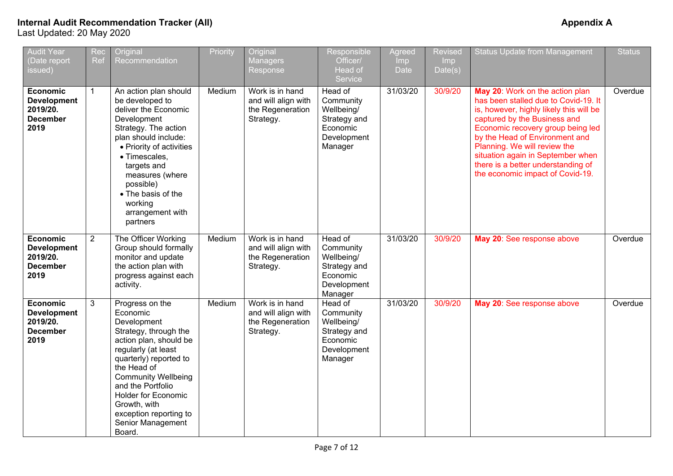| <b>Audit Year</b><br>(Date report<br>issued)                                 | Rec<br>Ref     | Original<br>Recommendation                                                                                                                                                                                                                                                                                              | Priority | Original<br><b>Managers</b><br>Response                                 | Responsible<br>Officer/<br>Head of<br>Service                                            | Agreed<br><b>Imp</b><br><b>Date</b> | <b>Revised</b><br>Imp<br>Date(s) | <b>Status Update from Management</b>                                                                                                                                                                                                                                                                                                                                     | <b>Status</b> |
|------------------------------------------------------------------------------|----------------|-------------------------------------------------------------------------------------------------------------------------------------------------------------------------------------------------------------------------------------------------------------------------------------------------------------------------|----------|-------------------------------------------------------------------------|------------------------------------------------------------------------------------------|-------------------------------------|----------------------------------|--------------------------------------------------------------------------------------------------------------------------------------------------------------------------------------------------------------------------------------------------------------------------------------------------------------------------------------------------------------------------|---------------|
| <b>Economic</b><br><b>Development</b><br>2019/20.<br><b>December</b><br>2019 | $\mathbf{1}$   | An action plan should<br>be developed to<br>deliver the Economic<br>Development<br>Strategy. The action<br>plan should include:<br>• Priority of activities<br>· Timescales,<br>targets and<br>measures (where<br>possible)<br>• The basis of the<br>working<br>arrangement with<br>partners                            | Medium   | Work is in hand<br>and will align with<br>the Regeneration<br>Strategy. | Head of<br>Community<br>Wellbeing/<br>Strategy and<br>Economic<br>Development<br>Manager | 31/03/20                            | 30/9/20                          | May 20: Work on the action plan<br>has been stalled due to Covid-19. It<br>is, however, highly likely this will be<br>captured by the Business and<br>Economic recovery group being led<br>by the Head of Environment and<br>Planning. We will review the<br>situation again in September when<br>there is a better understanding of<br>the economic impact of Covid-19. | Overdue       |
| Economic<br><b>Development</b><br>2019/20.<br><b>December</b><br>2019        | $\overline{2}$ | The Officer Working<br>Group should formally<br>monitor and update<br>the action plan with<br>progress against each<br>activity.                                                                                                                                                                                        | Medium   | Work is in hand<br>and will align with<br>the Regeneration<br>Strategy. | Head of<br>Community<br>Wellbeing/<br>Strategy and<br>Economic<br>Development<br>Manager | 31/03/20                            | 30/9/20                          | May 20: See response above                                                                                                                                                                                                                                                                                                                                               | Overdue       |
| <b>Economic</b><br><b>Development</b><br>2019/20.<br><b>December</b><br>2019 | 3              | Progress on the<br>Economic<br>Development<br>Strategy, through the<br>action plan, should be<br>regularly (at least<br>quarterly) reported to<br>the Head of<br><b>Community Wellbeing</b><br>and the Portfolio<br><b>Holder for Economic</b><br>Growth, with<br>exception reporting to<br>Senior Management<br>Board. | Medium   | Work is in hand<br>and will align with<br>the Regeneration<br>Strategy. | Head of<br>Community<br>Wellbeing/<br>Strategy and<br>Economic<br>Development<br>Manager | 31/03/20                            | 30/9/20                          | May 20: See response above                                                                                                                                                                                                                                                                                                                                               | Overdue       |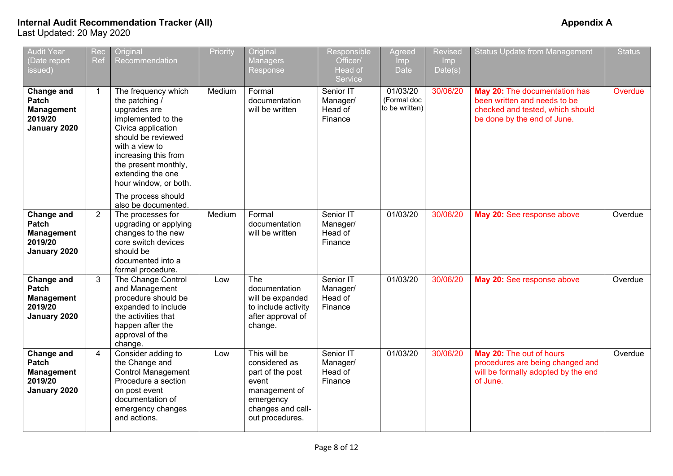| <b>Audit Year</b><br>(Date report<br>issued)                        | Rec<br>Ref     | Original<br>Recommendation                                                                                                                                                                                                                                    | Priority | Original<br><b>Managers</b><br>Response                                                                                          | Responsible<br>Officer/<br>Head of<br>Service | Agreed<br><b>Imp</b><br><b>Date</b>       | <b>Revised</b><br><b>Imp</b><br>Date(s) | <b>Status Update from Management</b>                                                                                             | <b>Status</b> |
|---------------------------------------------------------------------|----------------|---------------------------------------------------------------------------------------------------------------------------------------------------------------------------------------------------------------------------------------------------------------|----------|----------------------------------------------------------------------------------------------------------------------------------|-----------------------------------------------|-------------------------------------------|-----------------------------------------|----------------------------------------------------------------------------------------------------------------------------------|---------------|
| Change and<br>Patch<br><b>Management</b><br>2019/20<br>January 2020 | $\mathbf{1}$   | The frequency which<br>the patching /<br>upgrades are<br>implemented to the<br>Civica application<br>should be reviewed<br>with a view to<br>increasing this from<br>the present monthly,<br>extending the one<br>hour window, or both.<br>The process should | Medium   | Formal<br>documentation<br>will be written                                                                                       | Senior IT<br>Manager/<br>Head of<br>Finance   | 01/03/20<br>(Formal doc<br>to be written) | 30/06/20                                | May 20: The documentation has<br>been written and needs to be<br>checked and tested, which should<br>be done by the end of June. | Overdue       |
| Change and<br>Patch<br><b>Management</b><br>2019/20<br>January 2020 | $\overline{2}$ | also be documented.<br>The processes for<br>upgrading or applying<br>changes to the new<br>core switch devices<br>should be<br>documented into a<br>formal procedure.                                                                                         | Medium   | Formal<br>documentation<br>will be written                                                                                       | Senior IT<br>Manager/<br>Head of<br>Finance   | 01/03/20                                  | 30/06/20                                | May 20: See response above                                                                                                       | Overdue       |
| Change and<br>Patch<br><b>Management</b><br>2019/20<br>January 2020 | 3              | The Change Control<br>and Management<br>procedure should be<br>expanded to include<br>the activities that<br>happen after the<br>approval of the<br>change.                                                                                                   | Low      | The<br>documentation<br>will be expanded<br>to include activity<br>after approval of<br>change.                                  | Senior IT<br>Manager/<br>Head of<br>Finance   | 01/03/20                                  | 30/06/20                                | May 20: See response above                                                                                                       | Overdue       |
| Change and<br>Patch<br><b>Management</b><br>2019/20<br>January 2020 | $\overline{4}$ | Consider adding to<br>the Change and<br><b>Control Management</b><br>Procedure a section<br>on post event<br>documentation of<br>emergency changes<br>and actions.                                                                                            | Low      | This will be<br>considered as<br>part of the post<br>event<br>management of<br>emergency<br>changes and call-<br>out procedures. | Senior IT<br>Manager/<br>Head of<br>Finance   | 01/03/20                                  | 30/06/20                                | May 20: The out of hours<br>procedures are being changed and<br>will be formally adopted by the end<br>of June.                  | Overdue       |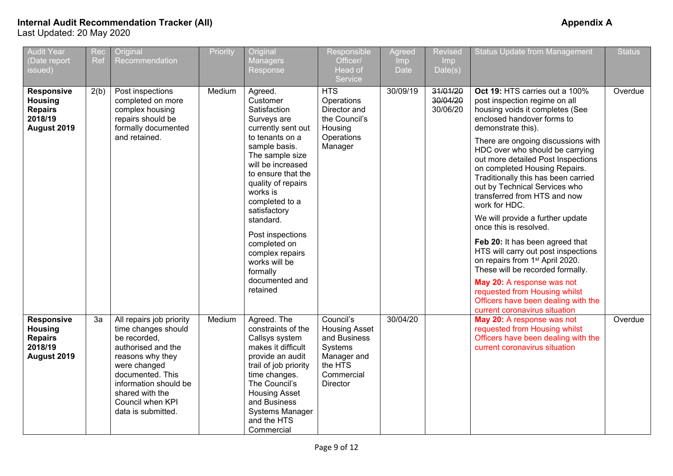| <b>Audit Year</b><br>(Date report<br>issued)                                    | Rec<br>Ref | Original<br>Recommendation                                                                                                                                                                                                          | Priority | Original<br>Managers<br>Response                                                                                                                                                                                                                                                                                                                                              | Responsible<br>Officer/<br>Head of<br>Service                                                                           | Agreed<br><b>Imp</b><br><b>Date</b> | Revised<br>Imp<br>Date(s)        | <b>Status Update from Management</b>                                                                                                                                                                                                                                                                                                                                                                                                                                                                                                                                                                                                                                                                                                                                                              | <b>Status</b> |
|---------------------------------------------------------------------------------|------------|-------------------------------------------------------------------------------------------------------------------------------------------------------------------------------------------------------------------------------------|----------|-------------------------------------------------------------------------------------------------------------------------------------------------------------------------------------------------------------------------------------------------------------------------------------------------------------------------------------------------------------------------------|-------------------------------------------------------------------------------------------------------------------------|-------------------------------------|----------------------------------|---------------------------------------------------------------------------------------------------------------------------------------------------------------------------------------------------------------------------------------------------------------------------------------------------------------------------------------------------------------------------------------------------------------------------------------------------------------------------------------------------------------------------------------------------------------------------------------------------------------------------------------------------------------------------------------------------------------------------------------------------------------------------------------------------|---------------|
| <b>Responsive</b><br><b>Housing</b><br><b>Repairs</b><br>2018/19<br>August 2019 | 2(b)       | Post inspections<br>completed on more<br>complex housing<br>repairs should be<br>formally documented<br>and retained.                                                                                                               | Medium   | Agreed.<br>Customer<br>Satisfaction<br>Surveys are<br>currently sent out<br>to tenants on a<br>sample basis.<br>The sample size<br>will be increased<br>to ensure that the<br>quality of repairs<br>works is<br>completed to a<br>satisfactory<br>standard.<br>Post inspections<br>completed on<br>complex repairs<br>works will be<br>formally<br>documented and<br>retained | <b>HTS</b><br>Operations<br>Director and<br>the Council's<br>Housing<br>Operations<br>Manager                           | 30/09/19                            | 31/01/20<br>30/04/20<br>30/06/20 | Oct 19: HTS carries out a 100%<br>post inspection regime on all<br>housing voids it completes (See<br>enclosed handover forms to<br>demonstrate this).<br>There are ongoing discussions with<br>HDC over who should be carrying<br>out more detailed Post Inspections<br>on completed Housing Repairs.<br>Traditionally this has been carried<br>out by Technical Services who<br>transferred from HTS and now<br>work for HDC.<br>We will provide a further update<br>once this is resolved.<br>Feb 20: It has been agreed that<br>HTS will carry out post inspections<br>on repairs from 1 <sup>st</sup> April 2020.<br>These will be recorded formally.<br>May 20: A response was not<br>requested from Housing whilst<br>Officers have been dealing with the<br>current coronavirus situation | Overdue       |
| <b>Responsive</b><br><b>Housing</b><br><b>Repairs</b><br>2018/19<br>August 2019 | 3a         | All repairs job priority<br>time changes should<br>be recorded,<br>authorised and the<br>reasons why they<br>were changed<br>documented. This<br>information should be<br>shared with the<br>Council when KPI<br>data is submitted. | Medium   | Agreed. The<br>constraints of the<br>Callsys system<br>makes it difficult<br>provide an audit<br>trail of job priority<br>time changes.<br>The Council's<br><b>Housing Asset</b><br>and Business<br>Systems Manager<br>and the HTS<br>Commercial                                                                                                                              | Council's<br><b>Housing Asset</b><br>and Business<br>Systems<br>Manager and<br>the HTS<br>Commercial<br><b>Director</b> | 30/04/20                            |                                  | May 20: A response was not<br>requested from Housing whilst<br>Officers have been dealing with the<br>current coronavirus situation                                                                                                                                                                                                                                                                                                                                                                                                                                                                                                                                                                                                                                                               | Overdue       |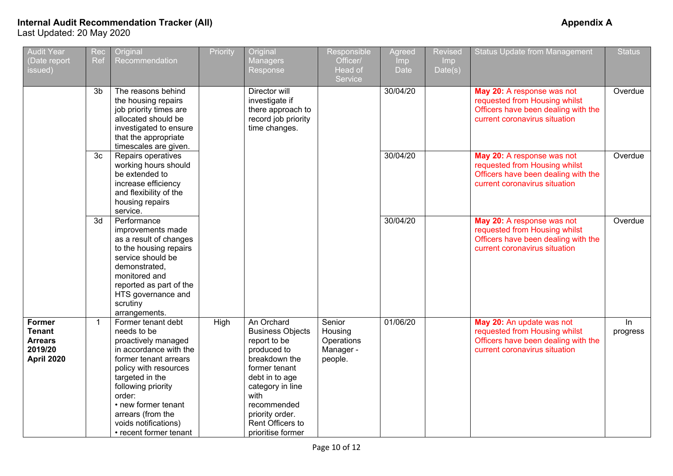| <b>Audit Year</b><br>(Date report<br>issued)                              | Rec<br>Ref     | Original<br>Recommendation                                                                                                                                                                                                                                                            | Priority | Original<br><b>Managers</b><br>Response                                                                                                                                                                                         | Responsible<br>Officer/<br>Head of                      | Agreed<br>Imp<br><b>Date</b> | <b>Revised</b><br>Imp<br>Date(s) | <b>Status Update from Management</b>                                                                                                | <b>Status</b>  |
|---------------------------------------------------------------------------|----------------|---------------------------------------------------------------------------------------------------------------------------------------------------------------------------------------------------------------------------------------------------------------------------------------|----------|---------------------------------------------------------------------------------------------------------------------------------------------------------------------------------------------------------------------------------|---------------------------------------------------------|------------------------------|----------------------------------|-------------------------------------------------------------------------------------------------------------------------------------|----------------|
|                                                                           | 3 <sub>b</sub> | The reasons behind<br>the housing repairs<br>job priority times are<br>allocated should be<br>investigated to ensure<br>that the appropriate<br>timescales are given.                                                                                                                 |          | Director will<br>investigate if<br>there approach to<br>record job priority<br>time changes.                                                                                                                                    | Service                                                 | 30/04/20                     |                                  | May 20: A response was not<br>requested from Housing whilst<br>Officers have been dealing with the<br>current coronavirus situation | Overdue        |
|                                                                           | 3 <sub>c</sub> | Repairs operatives<br>working hours should<br>be extended to<br>increase efficiency<br>and flexibility of the<br>housing repairs<br>service.                                                                                                                                          |          |                                                                                                                                                                                                                                 |                                                         | 30/04/20                     |                                  | May 20: A response was not<br>requested from Housing whilst<br>Officers have been dealing with the<br>current coronavirus situation | Overdue        |
|                                                                           | 3d             | Performance<br>improvements made<br>as a result of changes<br>to the housing repairs<br>service should be<br>demonstrated,<br>monitored and<br>reported as part of the<br>HTS governance and<br>scrutiny<br>arrangements.                                                             |          |                                                                                                                                                                                                                                 |                                                         | 30/04/20                     |                                  | May 20: A response was not<br>requested from Housing whilst<br>Officers have been dealing with the<br>current coronavirus situation | Overdue        |
| Former<br><b>Tenant</b><br><b>Arrears</b><br>2019/20<br><b>April 2020</b> | $\mathbf{1}$   | Former tenant debt<br>needs to be<br>proactively managed<br>in accordance with the<br>former tenant arrears<br>policy with resources<br>targeted in the<br>following priority<br>order:<br>• new former tenant<br>arrears (from the<br>voids notifications)<br>• recent former tenant | High     | An Orchard<br><b>Business Objects</b><br>report to be<br>produced to<br>breakdown the<br>former tenant<br>debt in to age<br>category in line<br>with<br>recommended<br>priority order.<br>Rent Officers to<br>prioritise former | Senior<br>Housing<br>Operations<br>Manager -<br>people. | 01/06/20                     |                                  | May 20: An update was not<br>requested from Housing whilst<br>Officers have been dealing with the<br>current coronavirus situation  | In<br>progress |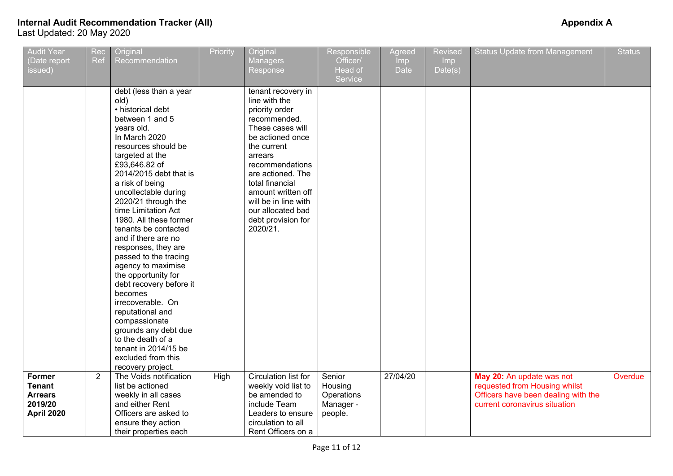| <b>Audit Year</b><br>(Date report                           | Rec<br><b>Ref</b> | Original<br>Recommendation                                                                                                                                                                                                                                                                                                                                                                                                                                                                                                                                                                                                                                                | Priority | Original<br><b>Managers</b>                                                                                                                                                                                                                                                                             | Responsible<br>Officer/                      | Agreed<br>Imp | Revised<br>Imp | <b>Status Update from Management</b>                                                                                               | <b>Status</b> |
|-------------------------------------------------------------|-------------------|---------------------------------------------------------------------------------------------------------------------------------------------------------------------------------------------------------------------------------------------------------------------------------------------------------------------------------------------------------------------------------------------------------------------------------------------------------------------------------------------------------------------------------------------------------------------------------------------------------------------------------------------------------------------------|----------|---------------------------------------------------------------------------------------------------------------------------------------------------------------------------------------------------------------------------------------------------------------------------------------------------------|----------------------------------------------|---------------|----------------|------------------------------------------------------------------------------------------------------------------------------------|---------------|
| issued)                                                     |                   |                                                                                                                                                                                                                                                                                                                                                                                                                                                                                                                                                                                                                                                                           |          | Response                                                                                                                                                                                                                                                                                                | Head of<br>Service                           | <b>Date</b>   | Date(s)        |                                                                                                                                    |               |
|                                                             |                   | debt (less than a year<br>old)<br>• historical debt<br>between 1 and 5<br>years old.<br>In March 2020<br>resources should be<br>targeted at the<br>£93,646.82 of<br>2014/2015 debt that is<br>a risk of being<br>uncollectable during<br>2020/21 through the<br>time Limitation Act<br>1980. All these former<br>tenants be contacted<br>and if there are no<br>responses, they are<br>passed to the tracing<br>agency to maximise<br>the opportunity for<br>debt recovery before it<br>becomes<br>irrecoverable. On<br>reputational and<br>compassionate<br>grounds any debt due<br>to the death of a<br>tenant in 2014/15 be<br>excluded from this<br>recovery project. |          | tenant recovery in<br>line with the<br>priority order<br>recommended.<br>These cases will<br>be actioned once<br>the current<br>arrears<br>recommendations<br>are actioned. The<br>total financial<br>amount written off<br>will be in line with<br>our allocated bad<br>debt provision for<br>2020/21. |                                              |               |                |                                                                                                                                    |               |
| <b>Former</b><br><b>Tenant</b><br><b>Arrears</b><br>2019/20 | $\overline{2}$    | The Voids notification<br>list be actioned<br>weekly in all cases<br>and either Rent                                                                                                                                                                                                                                                                                                                                                                                                                                                                                                                                                                                      | High     | Circulation list for<br>weekly void list to<br>be amended to<br>include Team                                                                                                                                                                                                                            | Senior<br>Housing<br>Operations<br>Manager - | 27/04/20      |                | May 20: An update was not<br>requested from Housing whilst<br>Officers have been dealing with the<br>current coronavirus situation | Overdue       |
| <b>April 2020</b>                                           |                   | Officers are asked to<br>ensure they action<br>their properties each                                                                                                                                                                                                                                                                                                                                                                                                                                                                                                                                                                                                      |          | Leaders to ensure<br>circulation to all<br>Rent Officers on a                                                                                                                                                                                                                                           | people.                                      |               |                |                                                                                                                                    |               |